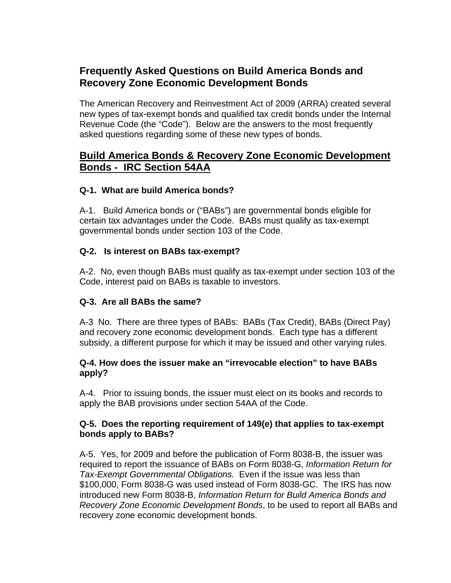# **Frequently Asked Questions on Build America Bonds and Recovery Zone Economic Development Bonds**

The American Recovery and Reinvestment Act of 2009 (ARRA) created several new types of tax-exempt bonds and qualified tax credit bonds under the Internal Revenue Code (the "Code"). Below are the answers to the most frequently asked questions regarding some of these new types of bonds.

# **Build America Bonds & Recovery Zone Economic Development Bonds - IRC Section 54AA**

#### **Q-1. What are build America bonds?**

A-1. Build America bonds or ("BABs") are governmental bonds eligible for certain tax advantages under the Code. BABs must qualify as tax-exempt governmental bonds under section 103 of the Code.

#### **Q-2. Is interest on BABs tax-exempt?**

A-2. No, even though BABs must qualify as tax-exempt under section 103 of the Code, interest paid on BABs is taxable to investors.

### **Q-3. Are all BABs the same?**

A-3 No. There are three types of BABs: BABs (Tax Credit), BABs (Direct Pay) and recovery zone economic development bonds. Each type has a different subsidy, a different purpose for which it may be issued and other varying rules.

#### **Q-4. How does the issuer make an "irrevocable election" to have BABs apply?**

A-4. Prior to issuing bonds, the issuer must elect on its books and records to apply the BAB provisions under section 54AA of the Code.

#### **Q-5. Does the reporting requirement of 149(e) that applies to tax-exempt bonds apply to BABs?**

A-5. Yes, for 2009 and before the publication of Form 8038-B, the issuer was required to report the issuance of BABs on Form 8038-G, *Information Return for Tax-Exempt Governmental Obligations.* Even if the issue was less than \$100,000, Form 8038-G was used instead of Form 8038-GC. The IRS has now introduced new Form 8038-B, *Information Return for Build America Bonds and Recovery Zone Economic Development Bonds*, to be used to report all BABs and recovery zone economic development bonds.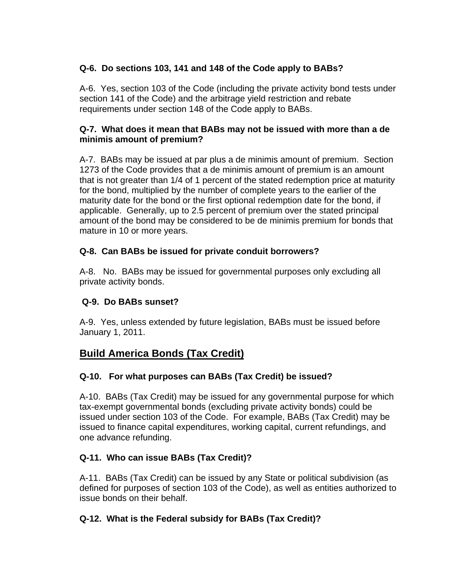# **Q-6. Do sections 103, 141 and 148 of the Code apply to BABs?**

A-6. Yes, section 103 of the Code (including the private activity bond tests under section 141 of the Code) and the arbitrage yield restriction and rebate requirements under section 148 of the Code apply to BABs.

#### **Q-7. What does it mean that BABs may not be issued with more than a de minimis amount of premium?**

A-7. BABs may be issued at par plus a de minimis amount of premium. Section 1273 of the Code provides that a de minimis amount of premium is an amount that is not greater than 1/4 of 1 percent of the stated redemption price at maturity for the bond, multiplied by the number of complete years to the earlier of the maturity date for the bond or the first optional redemption date for the bond, if applicable. Generally, up to 2.5 percent of premium over the stated principal amount of the bond may be considered to be de minimis premium for bonds that mature in 10 or more years.

### **Q-8. Can BABs be issued for private conduit borrowers?**

A-8. No. BABs may be issued for governmental purposes only excluding all private activity bonds.

### **Q-9. Do BABs sunset?**

A-9. Yes, unless extended by future legislation, BABs must be issued before January 1, 2011.

# **Build America Bonds (Tax Credit)**

# **Q-10. For what purposes can BABs (Tax Credit) be issued?**

A-10. BABs (Tax Credit) may be issued for any governmental purpose for which tax-exempt governmental bonds (excluding private activity bonds) could be issued under section 103 of the Code. For example, BABs (Tax Credit) may be issued to finance capital expenditures, working capital, current refundings, and one advance refunding.

# **Q-11. Who can issue BABs (Tax Credit)?**

A-11. BABs (Tax Credit) can be issued by any State or political subdivision (as defined for purposes of section 103 of the Code), as well as entities authorized to issue bonds on their behalf.

### **Q-12. What is the Federal subsidy for BABs (Tax Credit)?**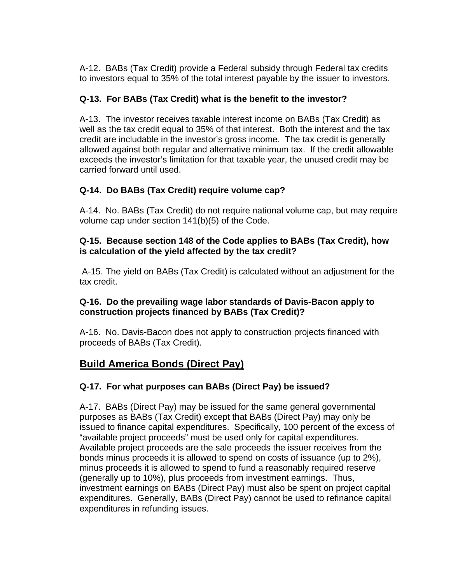A-12. BABs (Tax Credit) provide a Federal subsidy through Federal tax credits to investors equal to 35% of the total interest payable by the issuer to investors.

# **Q-13. For BABs (Tax Credit) what is the benefit to the investor?**

A-13. The investor receives taxable interest income on BABs (Tax Credit) as well as the tax credit equal to 35% of that interest. Both the interest and the tax credit are includable in the investor's gross income. The tax credit is generally allowed against both regular and alternative minimum tax. If the credit allowable exceeds the investor's limitation for that taxable year, the unused credit may be carried forward until used.

# **Q-14. Do BABs (Tax Credit) require volume cap?**

A-14. No. BABs (Tax Credit) do not require national volume cap, but may require volume cap under section 141(b)(5) of the Code.

#### **Q-15. Because section 148 of the Code applies to BABs (Tax Credit), how is calculation of the yield affected by the tax credit?**

 A-15. The yield on BABs (Tax Credit) is calculated without an adjustment for the tax credit.

### **Q-16. Do the prevailing wage labor standards of Davis-Bacon apply to construction projects financed by BABs (Tax Credit)?**

A-16. No. Davis-Bacon does not apply to construction projects financed with proceeds of BABs (Tax Credit).

# **Build America Bonds (Direct Pay)**

# **Q-17. For what purposes can BABs (Direct Pay) be issued?**

A-17. BABs (Direct Pay) may be issued for the same general governmental purposes as BABs (Tax Credit) except that BABs (Direct Pay) may only be issued to finance capital expenditures. Specifically, 100 percent of the excess of "available project proceeds" must be used only for capital expenditures. Available project proceeds are the sale proceeds the issuer receives from the bonds minus proceeds it is allowed to spend on costs of issuance (up to 2%), minus proceeds it is allowed to spend to fund a reasonably required reserve (generally up to 10%), plus proceeds from investment earnings. Thus, investment earnings on BABs (Direct Pay) must also be spent on project capital expenditures. Generally, BABs (Direct Pay) cannot be used to refinance capital expenditures in refunding issues.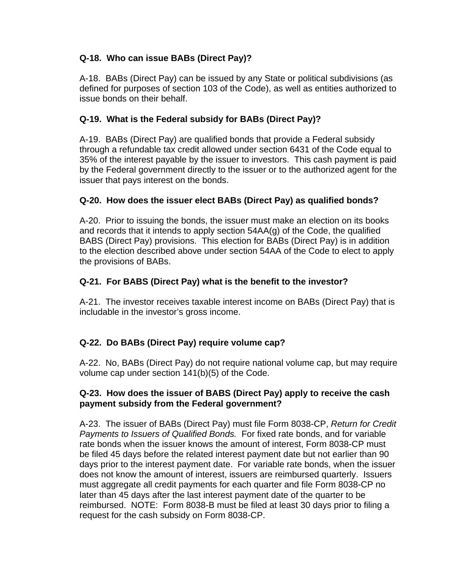# **Q-18. Who can issue BABs (Direct Pay)?**

A-18. BABs (Direct Pay) can be issued by any State or political subdivisions (as defined for purposes of section 103 of the Code), as well as entities authorized to issue bonds on their behalf.

### **Q-19. What is the Federal subsidy for BABs (Direct Pay)?**

A-19. BABs (Direct Pay) are qualified bonds that provide a Federal subsidy through a refundable tax credit allowed under section 6431 of the Code equal to 35% of the interest payable by the issuer to investors. This cash payment is paid by the Federal government directly to the issuer or to the authorized agent for the issuer that pays interest on the bonds.

### **Q-20. How does the issuer elect BABs (Direct Pay) as qualified bonds?**

A-20. Prior to issuing the bonds, the issuer must make an election on its books and records that it intends to apply section 54AA(g) of the Code, the qualified BABS (Direct Pay) provisions. This election for BABs (Direct Pay) is in addition to the election described above under section 54AA of the Code to elect to apply the provisions of BABs.

### **Q-21. For BABS (Direct Pay) what is the benefit to the investor?**

A-21. The investor receives taxable interest income on BABs (Direct Pay) that is includable in the investor's gross income.

# **Q-22. Do BABs (Direct Pay) require volume cap?**

A-22. No, BABs (Direct Pay) do not require national volume cap, but may require volume cap under section 141(b)(5) of the Code.

#### **Q-23. How does the issuer of BABS (Direct Pay) apply to receive the cash payment subsidy from the Federal government?**

A-23. The issuer of BABs (Direct Pay) must file Form 8038-CP, *Return for Credit Payments to Issuers of Qualified Bonds.* For fixed rate bonds, and for variable rate bonds when the issuer knows the amount of interest, Form 8038-CP must be filed 45 days before the related interest payment date but not earlier than 90 days prior to the interest payment date. For variable rate bonds, when the issuer does not know the amount of interest, issuers are reimbursed quarterly. Issuers must aggregate all credit payments for each quarter and file Form 8038-CP no later than 45 days after the last interest payment date of the quarter to be reimbursed. NOTE: Form 8038-B must be filed at least 30 days prior to filing a request for the cash subsidy on Form 8038-CP.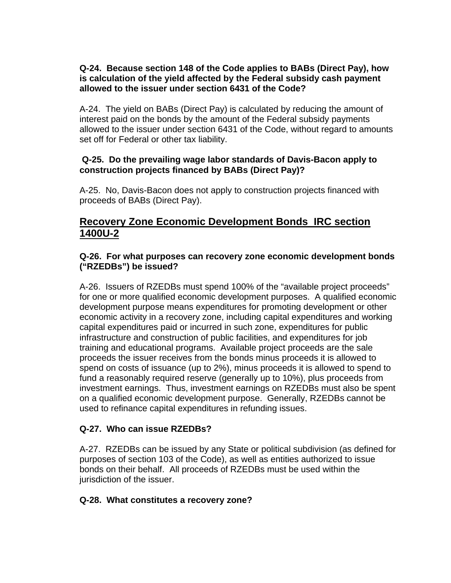#### **Q-24. Because section 148 of the Code applies to BABs (Direct Pay), how is calculation of the yield affected by the Federal subsidy cash payment allowed to the issuer under section 6431 of the Code?**

A-24. The yield on BABs (Direct Pay) is calculated by reducing the amount of interest paid on the bonds by the amount of the Federal subsidy payments allowed to the issuer under section 6431 of the Code, without regard to amounts set off for Federal or other tax liability.

#### **Q-25. Do the prevailing wage labor standards of Davis-Bacon apply to construction projects financed by BABs (Direct Pay)?**

A-25. No, Davis-Bacon does not apply to construction projects financed with proceeds of BABs (Direct Pay).

# **Recovery Zone Economic Development Bonds IRC section 1400U-2**

#### **Q-26. For what purposes can recovery zone economic development bonds ("RZEDBs") be issued?**

A-26. Issuers of RZEDBs must spend 100% of the "available project proceeds" for one or more qualified economic development purposes. A qualified economic development purpose means expenditures for promoting development or other economic activity in a recovery zone, including capital expenditures and working capital expenditures paid or incurred in such zone, expenditures for public infrastructure and construction of public facilities, and expenditures for job training and educational programs. Available project proceeds are the sale proceeds the issuer receives from the bonds minus proceeds it is allowed to spend on costs of issuance (up to 2%), minus proceeds it is allowed to spend to fund a reasonably required reserve (generally up to 10%), plus proceeds from investment earnings. Thus, investment earnings on RZEDBs must also be spent on a qualified economic development purpose. Generally, RZEDBs cannot be used to refinance capital expenditures in refunding issues.

### **Q-27. Who can issue RZEDBs?**

A-27. RZEDBs can be issued by any State or political subdivision (as defined for purposes of section 103 of the Code), as well as entities authorized to issue bonds on their behalf. All proceeds of RZEDBs must be used within the jurisdiction of the issuer.

### **Q-28. What constitutes a recovery zone?**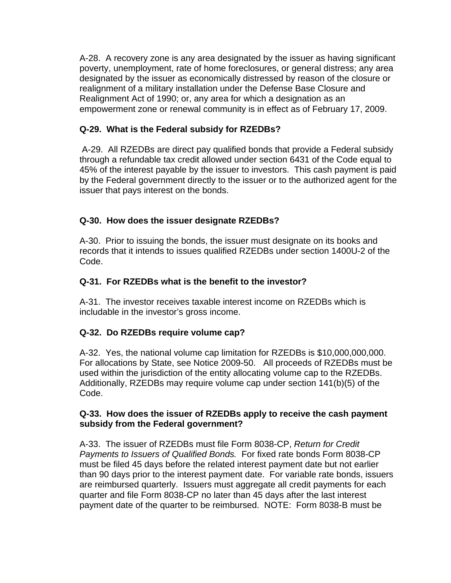A-28. A recovery zone is any area designated by the issuer as having significant poverty, unemployment, rate of home foreclosures, or general distress; any area designated by the issuer as economically distressed by reason of the closure or realignment of a military installation under the Defense Base Closure and Realignment Act of 1990; or, any area for which a designation as an empowerment zone or renewal community is in effect as of February 17, 2009.

### **Q-29. What is the Federal subsidy for RZEDBs?**

 A-29. All RZEDBs are direct pay qualified bonds that provide a Federal subsidy through a refundable tax credit allowed under section 6431 of the Code equal to 45% of the interest payable by the issuer to investors. This cash payment is paid by the Federal government directly to the issuer or to the authorized agent for the issuer that pays interest on the bonds.

### **Q-30. How does the issuer designate RZEDBs?**

A-30. Prior to issuing the bonds, the issuer must designate on its books and records that it intends to issues qualified RZEDBs under section 1400U-2 of the Code.

### **Q-31. For RZEDBs what is the benefit to the investor?**

A-31. The investor receives taxable interest income on RZEDBs which is includable in the investor's gross income.

# **Q-32. Do RZEDBs require volume cap?**

A-32. Yes, the national volume cap limitation for RZEDBs is \$10,000,000,000. For allocations by State, see Notice 2009-50. All proceeds of RZEDBs must be used within the jurisdiction of the entity allocating volume cap to the RZEDBs. Additionally, RZEDBs may require volume cap under section 141(b)(5) of the Code.

#### **Q-33. How does the issuer of RZEDBs apply to receive the cash payment subsidy from the Federal government?**

A-33. The issuer of RZEDBs must file Form 8038-CP, *Return for Credit Payments to Issuers of Qualified Bonds.* For fixed rate bonds Form 8038-CP must be filed 45 days before the related interest payment date but not earlier than 90 days prior to the interest payment date. For variable rate bonds, issuers are reimbursed quarterly. Issuers must aggregate all credit payments for each quarter and file Form 8038-CP no later than 45 days after the last interest payment date of the quarter to be reimbursed. NOTE: Form 8038-B must be